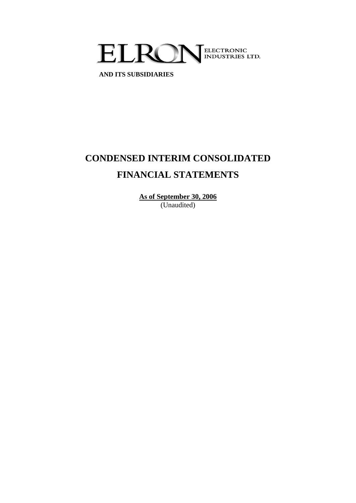

 **AND ITS SUBSIDIARIES**

# **CONDENSED INTERIM CONSOLIDATED FINANCIAL STATEMENTS**

**As of September 30, 2006** (Unaudited)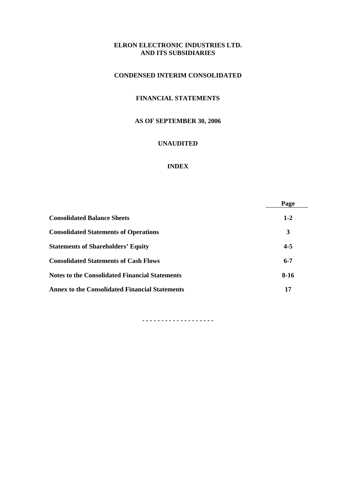# **CONDENSED INTERIM CONSOLIDATED**

# **FINANCIAL STATEMENTS**

# **AS OF SEPTEMBER 30, 2006**

## **UNAUDITED**

#### **INDEX**

|                                                       | Page    |
|-------------------------------------------------------|---------|
| <b>Consolidated Balance Sheets</b>                    | $1 - 2$ |
| <b>Consolidated Statements of Operations</b>          | 3       |
| <b>Statements of Shareholders' Equity</b>             | $4 - 5$ |
| <b>Consolidated Statements of Cash Flows</b>          | $6 - 7$ |
| <b>Notes to the Consolidated Financial Statements</b> | $8-16$  |
| <b>Annex to the Consolidated Financial Statements</b> | 17      |

**- - - - - - - - - - - - - - - - - - -**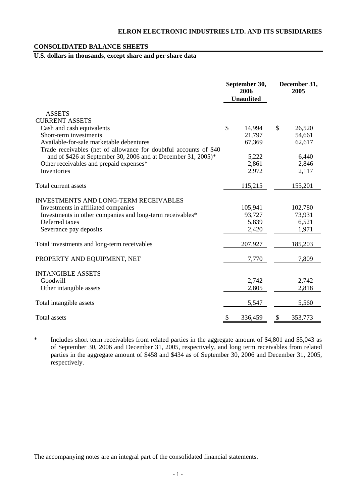# **CONSOLIDATED BALANCE SHEETS**

# **U.S. dollars in thousands, except share and per share data**

|                                                                    | September 30,<br>2006<br><b>Unaudited</b> |                  | December 31,<br>2005 |
|--------------------------------------------------------------------|-------------------------------------------|------------------|----------------------|
| <b>ASSETS</b>                                                      |                                           |                  |                      |
| <b>CURRENT ASSETS</b>                                              |                                           |                  |                      |
| Cash and cash equivalents                                          | \$                                        | 14,994           | \$<br>26,520         |
| Short-term investments<br>Available-for-sale marketable debentures |                                           | 21,797<br>67,369 | 54,661<br>62,617     |
| Trade receivables (net of allowance for doubtful accounts of \$40  |                                           |                  |                      |
| and of \$426 at September 30, 2006 and at December 31, 2005)*      |                                           | 5,222            | 6,440                |
| Other receivables and prepaid expenses*                            |                                           | 2,861            | 2,846                |
| Inventories                                                        |                                           | 2,972            | 2,117                |
|                                                                    |                                           |                  |                      |
| Total current assets                                               |                                           | 115,215          | 155,201              |
| <b>INVESTMENTS AND LONG-TERM RECEIVABLES</b>                       |                                           |                  |                      |
| Investments in affiliated companies                                |                                           | 105,941          | 102,780              |
| Investments in other companies and long-term receivables*          |                                           | 93,727           | 73,931               |
| Deferred taxes                                                     |                                           | 5,839            | 6,521                |
| Severance pay deposits                                             |                                           | 2,420            | 1,971                |
|                                                                    |                                           |                  |                      |
| Total investments and long-term receivables                        |                                           | 207,927          | 185,203              |
| PROPERTY AND EQUIPMENT, NET                                        |                                           | 7,770            | 7,809                |
| <b>INTANGIBLE ASSETS</b>                                           |                                           |                  |                      |
| Goodwill                                                           |                                           | 2,742            | 2,742                |
| Other intangible assets                                            |                                           | 2,805            | 2,818                |
|                                                                    |                                           |                  |                      |
| Total intangible assets                                            |                                           | 5,547            | 5,560                |
| <b>Total assets</b>                                                | $\boldsymbol{\mathsf{S}}$                 | 336,459          | \$<br>353,773        |

\* Includes short term receivables from related parties in the aggregate amount of \$4,801 and \$5,043 as of September 30, 2006 and December 31, 2005, respectively, and long term receivables from related parties in the aggregate amount of \$458 and \$434 as of September 30, 2006 and December 31, 2005, respectively.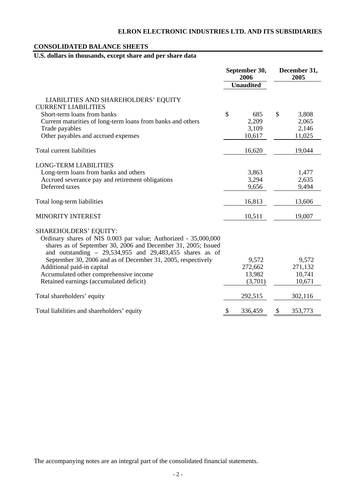# **CONSOLIDATED BALANCE SHEETS**

# **U.S. dollars in thousands, except share and per share data**

|                                                                                                                                                                                                                                 | September 30,<br>2006<br><b>Unaudited</b> | December 31,<br>2005 |
|---------------------------------------------------------------------------------------------------------------------------------------------------------------------------------------------------------------------------------|-------------------------------------------|----------------------|
| LIABILITIES AND SHAREHOLDERS' EQUITY<br><b>CURRENT LIABILITIES</b>                                                                                                                                                              |                                           |                      |
| Short-term loans from banks                                                                                                                                                                                                     | $\mathcal{S}$<br>685                      | \$<br>3,808          |
| Current maturities of long-term loans from banks and others                                                                                                                                                                     | 2,209                                     | 2,065                |
| Trade payables                                                                                                                                                                                                                  | 3,109                                     | 2,146                |
| Other payables and accrued expenses                                                                                                                                                                                             | 10,617                                    | 11,025               |
| Total current liabilities                                                                                                                                                                                                       | 16,620                                    | 19,044               |
| <b>LONG-TERM LIABILITIES</b>                                                                                                                                                                                                    |                                           |                      |
| Long-term loans from banks and others                                                                                                                                                                                           | 3,863                                     | 1,477                |
| Accrued severance pay and retirement obligations                                                                                                                                                                                | 3,294                                     | 2,635                |
| Deferred taxes                                                                                                                                                                                                                  | 9,656                                     | 9,494                |
| Total long-term liabilities                                                                                                                                                                                                     | 16,813                                    | 13,606               |
| <b>MINORITY INTEREST</b>                                                                                                                                                                                                        | 10,511                                    | 19,007               |
| <b>SHAREHOLDERS' EQUITY:</b><br>Ordinary shares of NIS 0.003 par value; Authorized - 35,000,000<br>shares as of September 30, 2006 and December 31, 2005; Issued<br>and outstanding $-29,534,955$ and $29,483,455$ shares as of |                                           |                      |
| September 30, 2006 and as of December 31, 2005, respectively                                                                                                                                                                    | 9,572                                     | 9,572                |
| Additional paid-in capital                                                                                                                                                                                                      | 272,662                                   | 271,132              |
| Accumulated other comprehensive income                                                                                                                                                                                          | 13,982                                    | 10,741               |
| Retained earnings (accumulated deficit)                                                                                                                                                                                         | (3,701)                                   | 10,671               |
| Total shareholders' equity                                                                                                                                                                                                      | 292,515                                   | 302,116              |
| Total liabilities and shareholders' equity                                                                                                                                                                                      | \$<br>336,459                             | 353,773<br>\$        |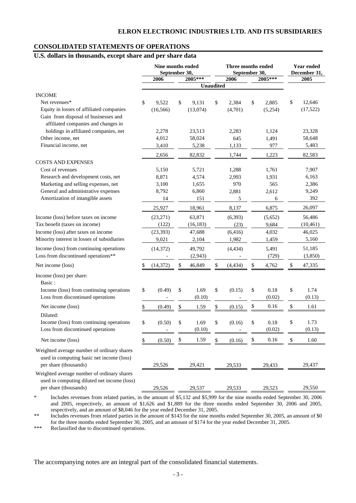# **CONSOLIDATED STATEMENTS OF OPERATIONS**

# **U.S. dollars in thousands, except share and per share data**

|                                                                                                                         | Nine months ended<br>September 30, |           |    |                | Three months ended<br>September 30, | Year ended<br>December 31, |                      |    |                |
|-------------------------------------------------------------------------------------------------------------------------|------------------------------------|-----------|----|----------------|-------------------------------------|----------------------------|----------------------|----|----------------|
|                                                                                                                         |                                    | 2006      |    | $2005***$      |                                     | 2006                       | 2005***              |    | 2005           |
|                                                                                                                         |                                    |           |    |                | <b>Unaudited</b>                    |                            |                      |    |                |
| <b>INCOME</b>                                                                                                           |                                    |           |    |                |                                     |                            |                      |    |                |
| Net revenues*                                                                                                           | \$                                 | 9,522     | \$ | 9,131          | \$                                  | 2,384                      | \$<br>2,885          | \$ | 12,646         |
| Equity in losses of affiliated companies<br>Gain from disposal of businesses and<br>affiliated companies and changes in |                                    | (16, 566) |    | (13,074)       |                                     | (4,701)                    | (5,254)              |    | (17, 522)      |
| holdings in affiliated companies, net                                                                                   |                                    | 2,278     |    | 23,513         |                                     | 2,283                      | 1,124                |    | 23,328         |
| Other income, net                                                                                                       |                                    | 4,012     |    | 58,024         |                                     | 645                        | 1,491                |    | 58,648         |
| Financial income, net                                                                                                   |                                    | 3,410     |    | 5,238          |                                     | 1,133                      | 977                  |    | 5,483          |
|                                                                                                                         |                                    | 2,656     |    | 82,832         |                                     | 1,744                      | 1,223                |    | 82,583         |
| <b>COSTS AND EXPENSES</b>                                                                                               |                                    |           |    |                |                                     |                            |                      |    |                |
| Cost of revenues                                                                                                        |                                    | 5,150     |    | 5,721          |                                     | 1,288                      | 1,761                |    | 7,907          |
| Research and development costs, net                                                                                     |                                    | 8,871     |    | 4,574          |                                     | 2,993                      | 1,931                |    | 6,163          |
| Marketing and selling expenses, net                                                                                     |                                    | 3,100     |    | 1,655          |                                     | 970                        | 565                  |    | 2,386          |
| General and administrative expenses                                                                                     |                                    | 8,792     |    | 6,860          |                                     | 2,881                      | 2,612                |    | 9,249          |
| Amortization of intangible assets                                                                                       |                                    | 14        |    | 151            |                                     | 5                          | 6                    |    | 392            |
|                                                                                                                         |                                    | 25,927    |    | 18,961         |                                     | 8,137                      | 6,875                |    | 26,097         |
| Income (loss) before taxes on income                                                                                    |                                    | (23, 271) |    | 63,871         |                                     | (6, 393)                   | (5,652)              |    | 56,486         |
| Tax benefit (taxes on income)                                                                                           |                                    | (122)     |    | (16, 183)      |                                     | (23)                       | 9,684                |    | (10, 461)      |
| Income (loss) after taxes on income                                                                                     |                                    | (23, 393) |    | 47,688         |                                     | (6, 416)                   | 4,032                |    | 46,025         |
| Minority interest in losses of subsidiaries                                                                             |                                    | 9,021     |    | 2,104          |                                     | 1,982                      | 1,459                |    | 5,160          |
| Income (loss) from continuing operations                                                                                |                                    | (14, 372) |    | 49,792         |                                     | (4, 434)                   | 5,491                |    | 51,185         |
| Loss from discontinued operations**                                                                                     |                                    |           |    | (2,943)        |                                     |                            | (729)                |    | (3,850)        |
| Net income (loss)                                                                                                       | \$                                 | (14, 372) |    | 46,849         | \$                                  | (4, 434)                   | \$<br>4,762          | \$ | 47,335         |
| Income (loss) per share:<br>Basic:                                                                                      |                                    |           |    |                |                                     |                            |                      |    |                |
| Income (loss) from continuing operations<br>Loss from discontinued operations                                           | \$                                 | (0.49)    | \$ | 1.69<br>(0.10) | \$                                  | (0.15)                     | \$<br>0.18<br>(0.02) | \$ | 1.74<br>(0.13) |
| Net income (loss)                                                                                                       | \$                                 | (0.49)    | \$ | 1.59           | \$                                  | (0.15)                     | \$<br>0.16           | \$ | 1.61           |
| Diluted:                                                                                                                |                                    |           |    |                |                                     |                            |                      |    |                |
| Income (loss) from continuing operations<br>Loss from discontinued operations                                           | \$                                 | (0.50)    | \$ | 1.69<br>(0.10) | \$                                  | (0.16)                     | \$<br>0.18<br>(0.02) | \$ | 1.73<br>(0.13) |
| Net income (loss)                                                                                                       | \$                                 | (0.50)    | \$ | 1.59           | \$                                  | (0.16)                     | \$<br>0.16           | \$ | 1.60           |
| Weighted average number of ordinary shares<br>used in computing basic net income (loss)<br>per share (thousands)        |                                    | 29,526    |    | 29,421         |                                     | 29,533                     | 29,433               |    | 29,437         |
| Weighted average number of ordinary shares<br>used in computing diluted net income (loss)<br>per share (thousands)      |                                    | 29,526    |    | 29,537         |                                     | 29,533                     | 29,523               |    | 29,550         |
|                                                                                                                         |                                    |           |    |                |                                     |                            |                      |    |                |

Includes revenues from related parties, in the amount of \$5,132 and \$5,999 for the nine months ended September 30, 2006 and 2005, respectively, an amount of \$1,626 and \$1,889 for the three months ended September 30, 2006 and 2005, respectively, and an amount of \$8,046 for the year ended December 31, 2005.

\*\* Includes revenues from related parties in the amount of \$143 for the nine months ended September 30, 2005, an amount of \$0 for the three months ended September 30, 2005, and an amount of \$174 for the year ended December 31, 2005.

\*\*\* Reclassified due to discontinued operations.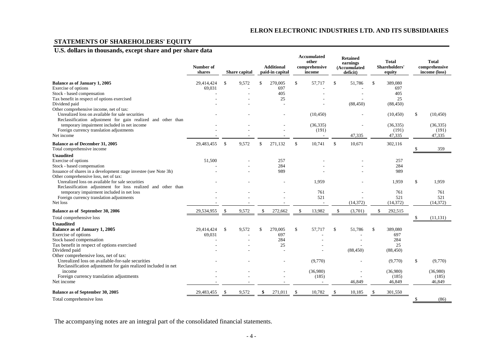# **STATEMENTS OF SHAREHOLDERS' EQUITY**

# **U.S. dollars in thousands, except share and per share data**

|                                                                                                                                                                                                                                                                      | Number of<br>shares  |              | Share capital |               | <b>Additional</b><br>paid-in capital |              | <b>Accumulated</b><br>other<br>comprehensive<br>income |              | <b>Retained</b><br>earnings<br>(Accumulated<br>deficit) |               | <b>Total</b><br>Shareholders'<br>equity   |             | <b>Total</b><br>comprehensive<br>income (loss) |
|----------------------------------------------------------------------------------------------------------------------------------------------------------------------------------------------------------------------------------------------------------------------|----------------------|--------------|---------------|---------------|--------------------------------------|--------------|--------------------------------------------------------|--------------|---------------------------------------------------------|---------------|-------------------------------------------|-------------|------------------------------------------------|
| Balance as of January 1, 2005<br>Exercise of options<br>Stock - based compensation<br>Tax benefit in respect of options exercised<br>Dividend paid                                                                                                                   | 29,414,424<br>69,031 | $\mathbb{S}$ | 9,572         | \$            | 270,005<br>697<br>405<br>25          | $\mathbb{S}$ | 57,717                                                 | $\mathbb{S}$ | 51,786<br>(88, 450)                                     | $\mathcal{S}$ | 389,080<br>697<br>405<br>25<br>(88, 450)  |             |                                                |
| Other comprehensive income, net of tax:<br>Unrealized loss on available for sale securities<br>Reclassification adjustment for gain realized and other than<br>temporary impairment included in net income<br>Foreign currency translation adjustments<br>Net income |                      |              |               |               |                                      |              | (10, 450)<br>(36, 335)<br>(191)                        |              | 47,335                                                  |               | (10, 450)<br>(36, 335)<br>(191)<br>47,335 | \$          | (10, 450)<br>(36, 335)<br>(191)<br>47,335      |
| Balance as of December 31, 2005<br>Total comprehensive income                                                                                                                                                                                                        | 29,483,455           | $\mathbb{S}$ | 9,572         | \$            | 271.132                              | $\mathbf S$  | $\overline{\phantom{a}}$<br>10,741                     | $\mathbb{S}$ | 10,671                                                  |               | 302,116                                   |             | 359                                            |
| <b>Unaudited</b><br>Exercise of options<br>Stock - based compensation<br>Issuance of shares in a development stage investee (see Note 3h)<br>Other comprehensive loss, net of tax:                                                                                   | 51,500               |              |               |               | 257<br>284<br>989                    |              |                                                        |              |                                                         |               | 257<br>284<br>989                         |             |                                                |
| Unrealized loss on available for sale securities<br>Reclassification adjustment for loss realized and other than<br>temporary impairment included in net loss<br>Foreign currency translation adjustments<br>Net loss                                                |                      |              |               |               |                                      |              | 1,959<br>761<br>521                                    |              | (14, 372)                                               |               | 1,959<br>761<br>521<br>(14, 372)          | $\mathbb S$ | 1,959<br>761<br>521<br>(14, 372)               |
| Balance as of September 30, 2006                                                                                                                                                                                                                                     | 29,534,955           | \$           | 9,572         | \$            | 272,662                              | \$           | 13,982                                                 | \$           | (3,701)                                                 | \$            | 292,515                                   |             |                                                |
| Total comprehensive loss<br><b>Unaudited</b>                                                                                                                                                                                                                         |                      |              |               |               |                                      |              |                                                        |              |                                                         |               |                                           |             | (11, 131)                                      |
| Balance as of January 1, 2005<br>Exercise of options<br>Stock based compensation<br>Tax benefit in respect of options exercised<br>Dividend paid<br>Other comprehensive loss, net of tax:                                                                            | 29,414,424<br>69,031 | \$           | 9,572         | <sup>\$</sup> | 270,005<br>697<br>284<br>25          | \$           | 57,717                                                 | \$           | 51,786<br>(88, 450)                                     | $\mathbb{S}$  | 389,080<br>697<br>284<br>25<br>(88, 450)  |             |                                                |
| Unrealized loss on available-for-sale securities<br>Reclassification adjustment for gain realized included in net<br>income<br>Foreign currency translation adjustments                                                                                              |                      |              |               |               |                                      |              | (9,770)<br>(36,980)<br>(185)                           |              |                                                         |               | (9,770)<br>(36,980)<br>(185)              | \$          | (9,770)<br>(36,980)<br>(185)                   |
| Net income                                                                                                                                                                                                                                                           |                      |              |               |               |                                      |              |                                                        |              | 46,849                                                  |               | 46,849                                    |             | 46,849                                         |
| Balance as of September 30, 2005                                                                                                                                                                                                                                     | 29,483,455           | -S           | 9,572         | \$            | 271,011                              | .S           | 10,782                                                 | \$.          | 10,185                                                  | <sup>\$</sup> | 301,550                                   |             |                                                |
| Total comprehensive loss                                                                                                                                                                                                                                             |                      |              |               |               |                                      |              |                                                        |              |                                                         |               |                                           | \$          | (86)                                           |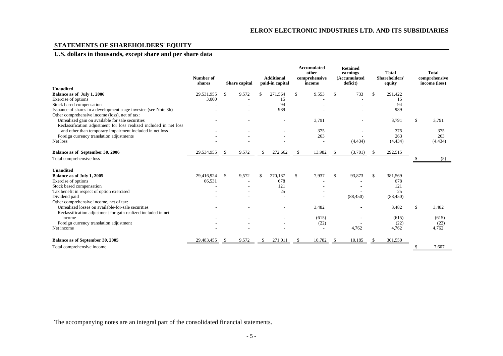# **STATEMENTS OF SHAREHOLDERS' EQUITY**

# **U.S. dollars in thousands, except share and per share data**

|                                                                    | Number of<br>shares |               | <b>Share</b> capital |    | <b>Additional</b><br>paid-in capital |             | Accumulated<br>other<br>comprehensive<br>income |     | <b>Retained</b><br>earnings<br>(Accumulated<br>deficit) |    | <b>Total</b><br>Shareholders'<br>equity | <b>Total</b><br>comprehensive<br>income (loss) |
|--------------------------------------------------------------------|---------------------|---------------|----------------------|----|--------------------------------------|-------------|-------------------------------------------------|-----|---------------------------------------------------------|----|-----------------------------------------|------------------------------------------------|
| Unaudited                                                          |                     |               |                      |    |                                      |             |                                                 |     |                                                         |    |                                         |                                                |
| Balance as of July 1, 2006                                         | 29,531,955          | <sup>\$</sup> | 9,572                |    | 271,564                              | $\mathbf S$ | 9,553                                           | \$. | 733                                                     | £. | 291,422                                 |                                                |
| Exercise of options                                                | 3,000               |               |                      |    | 15                                   |             |                                                 |     |                                                         |    | 15                                      |                                                |
| Stock based compensation                                           |                     |               |                      |    | 94                                   |             |                                                 |     |                                                         |    | 94                                      |                                                |
| Issuance of shares in a development stage investee (see Note 3h)   |                     |               |                      |    | 989                                  |             |                                                 |     |                                                         |    | 989                                     |                                                |
| Other comprehensive income (loss), net of tax:                     |                     |               |                      |    |                                      |             |                                                 |     |                                                         |    |                                         |                                                |
| Unrealized gain on available for sale securities                   |                     |               |                      |    |                                      |             | 3,791                                           |     |                                                         |    | 3,791                                   | \$<br>3,791                                    |
| Reclassification adjustment for loss realized included in net loss |                     |               |                      |    |                                      |             |                                                 |     |                                                         |    |                                         |                                                |
| and other than temporary impairment included in net loss           |                     |               |                      |    |                                      |             | 375                                             |     |                                                         |    | 375                                     | 375                                            |
| Foreign currency translation adjustments                           |                     |               |                      |    |                                      |             | 263                                             |     |                                                         |    | 263                                     | 263                                            |
| Net loss                                                           |                     |               |                      |    |                                      |             |                                                 |     | (4, 434)                                                |    | (4, 434)                                | (4, 434)                                       |
| Balance as of September 30, 2006                                   | 29,534,955          | \$            | 9,572                | \$ | 272,662                              | \$          | 13,982                                          | -S  | (3,701)                                                 | -S | 292,515                                 |                                                |
| Total comprehensive loss                                           |                     |               |                      |    |                                      |             |                                                 |     |                                                         |    |                                         | (5)                                            |
| <b>Unaudited</b>                                                   |                     |               |                      |    |                                      |             |                                                 |     |                                                         |    |                                         |                                                |
| Balance as of July 1, 2005                                         | 29,416,924          | $\mathbf S$   | 9,572                | \$ | 270,187                              | $\mathbf S$ | 7,937                                           | \$. | 93,873                                                  | -S | 381,569                                 |                                                |
| Exercise of options                                                | 66,531              |               |                      |    | 678                                  |             |                                                 |     |                                                         |    | 678                                     |                                                |
| Stock based compensation                                           |                     |               |                      |    | 121                                  |             |                                                 |     |                                                         |    | 121                                     |                                                |
| Tax benefit in respect of option exercised                         |                     |               |                      |    | 25                                   |             |                                                 |     |                                                         |    | 25                                      |                                                |
| Dividend paid                                                      |                     |               |                      |    |                                      |             |                                                 |     | (88, 450)                                               |    | (88, 450)                               |                                                |
| Other comprehensive income, net of tax:                            |                     |               |                      |    |                                      |             |                                                 |     |                                                         |    |                                         |                                                |
| Unrealized losses on available-for-sale securities                 |                     |               |                      |    |                                      |             | 3,482                                           |     |                                                         |    | 3,482                                   | \$<br>3,482                                    |
| Reclassification adjustment for gain realized included in net      |                     |               |                      |    |                                      |             |                                                 |     |                                                         |    |                                         |                                                |
| income                                                             |                     |               |                      |    |                                      |             | (615)                                           |     |                                                         |    | (615)                                   | (615)                                          |
| Foreign currency translation adjustment                            |                     |               |                      |    |                                      |             | (22)                                            |     |                                                         |    | (22)                                    | (22)                                           |
| Net income                                                         |                     |               |                      |    |                                      |             |                                                 |     | 4,762                                                   |    | 4,762                                   | 4,762                                          |
| Balance as of September 30, 2005                                   | 29,483,455          | -S            | 9,572                | S. | 271,011                              | \$          | 10,782                                          |     | 10,185                                                  |    | 301,550                                 |                                                |
| Total comprehensive income                                         |                     |               |                      |    |                                      |             |                                                 |     |                                                         |    |                                         | 7,607                                          |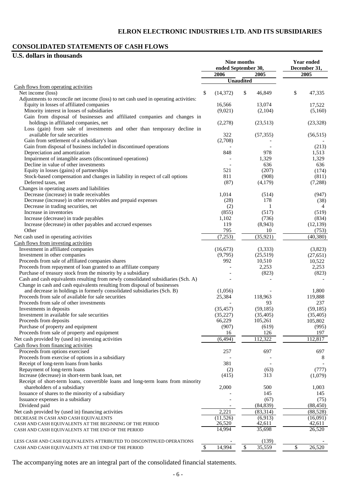# **CONSOLIDATED STATEMENTS OF CASH FLOWS**

# **U.S. dollars in thousands**

|                                                                                                   | ended September 30, | Nine months      |                     | <b>Year ended</b><br>December 31, |                    |  |
|---------------------------------------------------------------------------------------------------|---------------------|------------------|---------------------|-----------------------------------|--------------------|--|
|                                                                                                   | 2006                |                  | 2005                |                                   | 2005               |  |
|                                                                                                   |                     | <b>Unaudited</b> |                     |                                   |                    |  |
| Cash flows from operating activities                                                              |                     |                  |                     |                                   |                    |  |
| Net income (loss)                                                                                 | \$<br>(14, 372)     | \$               | 46,849              | \$                                | 47,335             |  |
| Adjustments to reconcile net income (loss) to net cash used in operating activities:              |                     |                  |                     |                                   |                    |  |
| Equity in losses of affiliated companies<br>Minority interest in losses of subsidiaries           | 16,566<br>(9,021)   |                  | 13,074<br>(2,104)   |                                   | 17,522<br>(5,160)  |  |
| Gain from disposal of businesses and affiliated companies and changes in                          |                     |                  |                     |                                   |                    |  |
| holdings in affiliated companies, net                                                             | (2,278)             |                  | (23,513)            |                                   | (23, 328)          |  |
| Loss (gain) from sale of investments and other than temporary decline in                          |                     |                  |                     |                                   |                    |  |
| available for sale securities                                                                     | 322                 |                  | (57, 355)           |                                   | (56, 515)          |  |
| Gain from settlement of a subsidiary's loan                                                       | (2,708)             |                  |                     |                                   |                    |  |
| Gain from disposal of business included in discontinued operations                                |                     |                  |                     |                                   | (213)              |  |
| Depreciation and amortization                                                                     | 848                 |                  | 978                 |                                   | 1,513              |  |
| Impairment of intangible assets (discontinued operations)                                         |                     |                  | 1,329               |                                   | 1,329              |  |
| Decline in value of other investments                                                             |                     |                  | 636                 |                                   | 636                |  |
| Equity in losses (gains) of partnerships                                                          | 521                 |                  | (207)               |                                   | (174)              |  |
| Stock-based compensation and changes in liability in respect of call options                      | 811                 |                  | (908)               |                                   | (811)              |  |
| Deferred taxes, net                                                                               | (87)                |                  | (4,179)             |                                   | (7,288)            |  |
| Changes in operating assets and liabilities                                                       |                     |                  |                     |                                   |                    |  |
| Decrease (increase) in trade receivables                                                          | 1,014               |                  | (514)               |                                   | (947)              |  |
| Decrease (increase) in other receivables and prepaid expenses                                     | (28)                |                  | 178                 |                                   | (38)               |  |
| Decrease in trading securities, net                                                               | (2)                 |                  | 1                   |                                   | $\overline{4}$     |  |
| Increase in inventories                                                                           | (855)               |                  | (517)               |                                   | (519)              |  |
| Increase (decrease) in trade payables                                                             | 1,102<br>119        |                  | (736)               |                                   | (834)              |  |
| Increase (decrease) in other payables and accrued expenses<br>Other                               | 795                 |                  | (8,943)<br>10       |                                   | (12, 139)          |  |
| Net cash used in operating activities                                                             | (7,253)             |                  | (35, 921)           |                                   | (753)<br>(40, 380) |  |
|                                                                                                   |                     |                  |                     |                                   |                    |  |
| Cash flows from investing activities<br>Investment in affiliated companies                        | (16, 673)           |                  | (3, 333)            |                                   | (3,823)            |  |
| Investment in other companies                                                                     | (9,795)             |                  | (25,519)            |                                   | (27, 651)          |  |
| Proceeds from sale of affiliated companies shares                                                 | 992                 |                  | 10,510              |                                   | 10,522             |  |
| Proceeds from repayment of loan granted to an affiliate company                                   |                     |                  | 2,253               |                                   | 2,253              |  |
| Purchase of treasury stock from the minority by a subsidiary                                      |                     |                  | (823)               |                                   | (823)              |  |
| Cash and cash equivalents resulting from newly consolidated subsidiaries (Sch. A)                 |                     |                  |                     |                                   |                    |  |
| Change in cash and cash equivalents resulting from disposal of businesses                         |                     |                  |                     |                                   |                    |  |
| and decrease in holdings in formerly consolidated subsidiaries (Sch. B)                           | (1,056)             |                  |                     |                                   | 1,800              |  |
| Proceeds from sale of available for sale securities                                               | 25,384              |                  | 118,963             |                                   | 119,888            |  |
| Proceeds from sale of other investments                                                           |                     |                  | 93                  |                                   | 237                |  |
| Investments in deposits                                                                           | (35, 457)           |                  | (59, 185)           |                                   | (59, 185)          |  |
| Investment in available for sale securities                                                       | (35, 227)           |                  | (35, 405)           |                                   | (35, 405)          |  |
| Proceeds from deposits                                                                            | 66,229              |                  | 105,261             |                                   | 105,802            |  |
| Purchase of property and equipment                                                                | (907)               |                  | (619)               |                                   | (995)              |  |
| Proceeds from sale of property and equipment                                                      | 16                  |                  | 126                 |                                   | 197                |  |
| Net cash provided by (used in) investing activities                                               | (6, 494)            |                  | 112,322             |                                   | 112,817            |  |
| Cash flows from financing activities                                                              |                     |                  |                     |                                   |                    |  |
| Proceeds from options exercised                                                                   | 257                 |                  | 697                 |                                   | 697                |  |
| Proceeds from exercise of options in a subsidiary                                                 |                     |                  |                     |                                   | 8                  |  |
| Receipt of long-term loans from banks                                                             | 381                 |                  |                     |                                   |                    |  |
| Repayment of long-term loans                                                                      | (2)                 |                  | (63)                |                                   | (777)              |  |
| Increase (decrease) in short-term bank loan, net                                                  | (415)               |                  | 313                 |                                   | (1,079)            |  |
| Receipt of short-term loans, convertible loans and long-term loans from minority                  |                     |                  |                     |                                   |                    |  |
| shareholders of a subsidiary                                                                      | 2,000               |                  | 500                 |                                   | 1,003              |  |
| Issuance of shares to the minority of a subsidiary                                                |                     |                  | 145                 |                                   | 145                |  |
| Issuance expenses in a subsidiary                                                                 |                     |                  | (67)                |                                   | (75)               |  |
| Dividend paid                                                                                     |                     |                  | (84, 839)           |                                   | (88, 450)          |  |
| Net cash provided by (used in) financing activities                                               | 2,221               |                  | (83,314)<br>(6,913) |                                   | (88, 528)          |  |
| DECREASE IN CASH AND CASH EQUIVALENTS<br>CASH AND CASH EQUIVALENTS AT THE BEGINNING OF THE PERIOD | (11, 526)<br>26,520 |                  | 42,611              |                                   | (16,091)<br>42,611 |  |
| CASH AND CASH EQUIVALENTS AT THE END OF THE PERIOD                                                | 14,994              |                  | 35,698              |                                   | 26,520             |  |
|                                                                                                   |                     |                  |                     |                                   |                    |  |
| LESS CASH AND CASH EQUIVALENTS ATTRIBUTED TO DISCONTINUED OPERATIONS                              |                     |                  | (139)               |                                   |                    |  |
| CASH AND CASH EQUIVALENTS AT THE END OF THE PERIOD                                                | \$<br>14,994        | \$               | 35,559              | \$                                | 26,520             |  |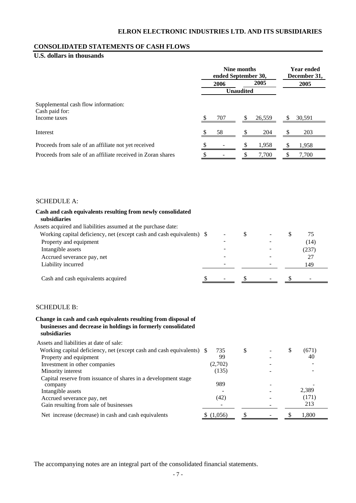## **CONSOLIDATED STATEMENTS OF CASH FLOWS**

# **U.S. dollars in thousands**

|                                                             | Nine months<br>ended September 30, | <b>Year ended</b><br>December 31, |        |        |
|-------------------------------------------------------------|------------------------------------|-----------------------------------|--------|--------|
|                                                             | 2006                               |                                   | 2005   | 2005   |
|                                                             |                                    | <b>Unaudited</b>                  |        |        |
| Supplemental cash flow information:<br>Cash paid for:       |                                    |                                   |        |        |
| Income taxes                                                | 707                                |                                   | 26,559 | 30,591 |
| Interest                                                    | 58                                 |                                   | 204    | 203    |
| Proceeds from sale of an affiliate not yet received         |                                    |                                   | 1,958  | 1,958  |
| Proceeds from sale of an affiliate received in Zoran shares | \$<br>-                            | \$                                | 7.700  | 7.700  |

#### SCHEDULE A:

# **Cash and cash equivalents resulting from newly consolidated subsidiaries**  Assets acquired and liabilities assumed at the purchase date: Working capital deficiency, net (except cash and cash equivalents)  $\frac{1}{2}$  -  $\frac{1}{2}$  -  $\frac{1}{2}$  -  $\frac{1}{2}$ Property and equipment (14) Intangible assets (237) Accrued severance pay, net 27 Liability incurred 149 Cash and cash equivalents acquired  $\frac{\$}{\$}$  -  $\frac{\$}{\$}$  -  $\frac{\$}{\$}$

## SCHEDULE B:

#### **Change in cash and cash equivalents resulting from disposal of businesses and decrease in holdings in formerly consolidated subsidiaries**

| Assets and liabilities at date of sale:                               |         |   |  |       |
|-----------------------------------------------------------------------|---------|---|--|-------|
| Working capital deficiency, net (except cash and cash equivalents) \$ | 735     | S |  | (671) |
| Property and equipment                                                | 99      |   |  | 40    |
| Investment in other companies                                         | (2,702) |   |  |       |
| Minority interest                                                     | (135)   |   |  |       |
| Capital reserve from issuance of shares in a development stage        |         |   |  |       |
| company                                                               | 989     |   |  |       |
| Intangible assets                                                     |         |   |  | 2,389 |
| Accrued severance pay, net                                            | (42)    |   |  | (171) |
| Gain resulting from sale of businesses                                |         |   |  | 213   |
| Net increase (decrease) in cash and cash equivalents                  | (1,056) |   |  | 1,800 |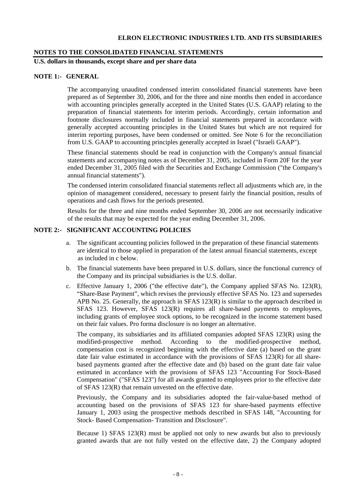#### **NOTES TO THE CONSOLIDATED FINANCIAL STATEMENTS**

**U.S. dollars in thousands, except share and per share data** 

# **NOTE 1:- GENERAL**

The accompanying unaudited condensed interim consolidated financial statements have been prepared as of September 30, 2006, and for the three and nine months then ended in accordance with accounting principles generally accepted in the United States (U.S. GAAP) relating to the preparation of financial statements for interim periods. Accordingly, certain information and footnote disclosures normally included in financial statements prepared in accordance with generally accepted accounting principles in the United States but which are not required for interim reporting purposes, have been condensed or omitted. See Note 6 for the reconciliation from U.S. GAAP to accounting principles generally accepted in Israel ("Israeli GAAP").

These financial statements should be read in conjunction with the Company's annual financial statements and accompanying notes as of December 31, 2005, included in Form 20F for the year ended December 31, 2005 filed with the Securities and Exchange Commission ("the Company's annual financial statements").

The condensed interim consolidated financial statements reflect all adjustments which are, in the opinion of management considered, necessary to present fairly the financial position, results of operations and cash flows for the periods presented.

Results for the three and nine months ended September 30, 2006 are not necessarily indicative of the results that may be expected for the year ending December 31, 2006.

#### **NOTE 2:- SIGNIFICANT ACCOUNTING POLICIES**

- a. The significant accounting policies followed in the preparation of these financial statements are identical to those applied in preparation of the latest annual financial statements, except as included in c below.
- b. The financial statements have been prepared in U.S. dollars, since the functional currency of the Company and its principal subsidiaries is the U.S. dollar.
- c. Effective January 1, 2006 ("the effective date"), the Company applied SFAS No. 123(R), "Share-Base Payment", which revises the previously effective SFAS No. 123 and supersedes APB No. 25. Generally, the approach in SFAS 123(R) is similar to the approach described in SFAS 123. However, SFAS 123(R) requires all share-based payments to employees, including grants of employee stock options, to be recognized in the income statement based on their fair values. Pro forma disclosure is no longer an alternative.

The company, its subsidiaries and its affiliated companies adopted SFAS 123(R) using the modified-prospective method. According to the modified-prospective method, compensation cost is recognized beginning with the effective date (a) based on the grant date fair value estimated in accordance with the provisions of SFAS 123(R) for all sharebased payments granted after the effective date and (b) based on the grant date fair value estimated in accordance with the provisions of SFAS 123 "Accounting For Stock-Based Compensation" ("SFAS 123") for all awards granted to employees prior to the effective date of SFAS 123(R) that remain unvested on the effective date.

Previously, the Company and its subsidiaries adopted the fair-value-based method of accounting based on the provisions of SFAS 123 for share-based payments effective January 1, 2003 using the prospective methods described in SFAS 148, "Accounting for Stock- Based Compensation- Transition and Disclosure".

Because 1) SFAS  $123(R)$  must be applied not only to new awards but also to previously granted awards that are not fully vested on the effective date, 2) the Company adopted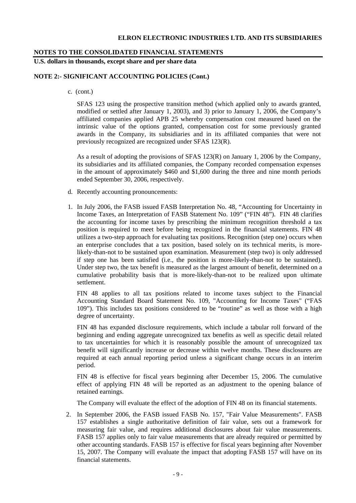#### **NOTES TO THE CONSOLIDATED FINANCIAL STATEMENTS**

**U.S. dollars in thousands, except share and per share data** 

#### **NOTE 2:- SIGNIFICANT ACCOUNTING POLICIES (Cont.)**

c. (cont.)

SFAS 123 using the prospective transition method (which applied only to awards granted, modified or settled after January 1, 2003), and 3) prior to January 1, 2006, the Company's affiliated companies applied APB 25 whereby compensation cost measured based on the intrinsic value of the options granted, compensation cost for some previously granted awards in the Company, its subsidiaries and in its affiliated companies that were not previously recognized are recognized under SFAS 123(R).

As a result of adopting the provisions of SFAS 123(R) on January 1, 2006 by the Company, its subsidiaries and its affiliated companies, the Company recorded compensation expenses in the amount of approximately \$460 and \$1,600 during the three and nine month periods ended September 30, 2006, respectively.

- d. Recently accounting pronouncements:
- 1. In July 2006, the FASB issued FASB Interpretation No. 48, "Accounting for Uncertainty in Income Taxes, an Interpretation of FASB Statement No. 109" ("FIN 48"). FIN 48 clarifies the accounting for income taxes by prescribing the minimum recognition threshold a tax position is required to meet before being recognized in the financial statements. FIN 48 utilizes a two-step approach for evaluating tax positions. Recognition (step one) occurs when an enterprise concludes that a tax position, based solely on its technical merits, is morelikely-than-not to be sustained upon examination. Measurement (step two) is only addressed if step one has been satisfied (i.e., the position is more-likely-than-not to be sustained). Under step two, the tax benefit is measured as the largest amount of benefit, determined on a cumulative probability basis that is more-likely-than-not to be realized upon ultimate settlement.

FIN 48 applies to all tax positions related to income taxes subject to the Financial Accounting Standard Board Statement No. 109, "Accounting for Income Taxes" ("FAS 109"). This includes tax positions considered to be "routine" as well as those with a high degree of uncertainty.

FIN 48 has expanded disclosure requirements, which include a tabular roll forward of the beginning and ending aggregate unrecognized tax benefits as well as specific detail related to tax uncertainties for which it is reasonably possible the amount of unrecognized tax benefit will significantly increase or decrease within twelve months. These disclosures are required at each annual reporting period unless a significant change occurs in an interim period.

FIN 48 is effective for fiscal years beginning after December 15, 2006. The cumulative effect of applying FIN 48 will be reported as an adjustment to the opening balance of retained earnings.

The Company will evaluate the effect of the adoption of FIN 48 on its financial statements.

2. In September 2006, the FASB issued FASB No. 157, "Fair Value Measurements". FASB 157 establishes a single authoritative definition of fair value, sets out a framework for measuring fair value, and requires additional disclosures about fair value measurements. FASB 157 applies only to fair value measurements that are already required or permitted by other accounting standards. FASB 157 is effective for fiscal years beginning after November 15, 2007. The Company will evaluate the impact that adopting FASB 157 will have on its financial statements.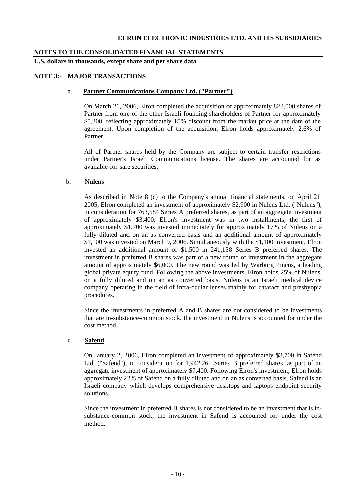# **NOTES TO THE CONSOLIDATED FINANCIAL STATEMENTS**

**U.S. dollars in thousands, except share and per share data** 

# **NOTE 3:- MAJOR TRANSACTIONS**

## a. **Partner Communications Company Ltd. ("Partner")**

On March 21, 2006, Elron completed the acquisition of approximately 823,000 shares of Partner from one of the other Israeli founding shareholders of Partner for approximately \$5,300, reflecting approximately 15% discount from the market price at the date of the agreement. Upon completion of the acquisition, Elron holds approximately 2.6% of Partner.

All of Partner shares held by the Company are subject to certain transfer restrictions under Partner's Israeli Communications license. The shares are accounted for as available-for-sale securities.

# b. **Nulens**

As described in Note 8 (c) to the Company's annual financial statements, on April 21, 2005, Elron completed an investment of approximately \$2,900 in Nulens Ltd. ("Nulens"), in consideration for 763,584 Series A preferred shares, as part of an aggregate investment of approximately \$3,400. Elron's investment was in two installments, the first of approximately \$1,700 was invested immediately for approximately 17% of Nulens on a fully diluted and on an as converted basis and an additional amount of approximately \$1,100 was invested on March 9, 2006. Simultaneously with the \$1,100 investment, Elron invested an additional amount of \$1,500 in 241,158 Series B preferred shares. The investment in preferred B shares was part of a new round of investment in the aggregate amount of approximately \$6,000. The new round was led by Warburg Pincus, a leading global private equity fund. Following the above investments, Elron holds 25% of Nulens, on a fully diluted and on an as converted basis. Nulens is an Israeli medical device company operating in the field of intra-ocular lenses mainly for cataract and presbyopia procedures.

Since the investments in preferred A and B shares are not considered to be investments that are in-substance-common stock, the investment in Nulens is accounted for under the cost method.

#### c. **Safend**

On January 2, 2006, Elron completed an investment of approximately \$3,700 in Safend Ltd. ("Safend"), in consideration for 1,942,261 Series B preferred shares, as part of an aggregate investment of approximately \$7,400. Following Elron's investment, Elron holds approximately 22% of Safend on a fully diluted and on an as converted basis. Safend is an Israeli company which develops comprehensive desktops and laptops endpoint security solutions.

Since the investment in preferred B shares is not considered to be an investment that is insubstance-common stock, the investment in Safend is accounted for under the cost method.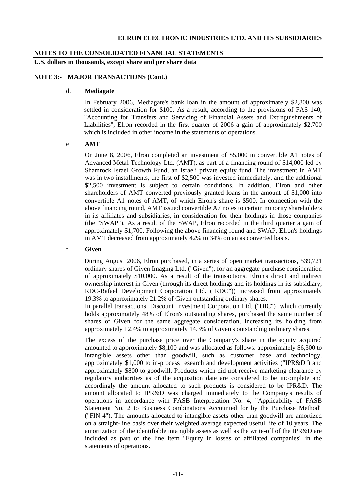# **NOTES TO THE CONSOLIDATED FINANCIAL STATEMENTS**

**U.S. dollars in thousands, except share and per share data** 

## **NOTE 3:- MAJOR TRANSACTIONS (Cont.)**

## d. **Mediagate**

 In February 2006, Mediagate's bank loan in the amount of approximately \$2,800 was settled in consideration for \$100. As a result, according to the provisions of FAS 140, "Accounting for Transfers and Servicing of Financial Assets and Extinguishments of Liabilities", Elron recorded in the first quarter of 2006 a gain of approximately \$2,700 which is included in other income in the statements of operations.

# e **AMT**

 On June 8, 2006, Elron completed an investment of \$5,000 in convertible A1 notes of Advanced Metal Technology Ltd. (AMT), as part of a financing round of \$14,000 led by Shamrock Israel Growth Fund, an Israeli private equity fund. The investment in AMT was in two installments, the first of \$2,500 was invested immediately, and the additional \$2,500 investment is subject to certain conditions. In addition, Elron and other shareholders of AMT converted previously granted loans in the amount of \$1,000 into convertible A1 notes of AMT, of which Elron's share is \$500. In connection with the above financing round, AMT issued convertible A7 notes to certain minority shareholders in its affiliates and subsidiaries, in consideration for their holdings in those companies (the "SWAP"). As a result of the SWAP, Elron recorded in the third quarter a gain of approximately \$1,700. Following the above financing round and SWAP, Elron's holdings in AMT decreased from approximately 42% to 34% on an as converted basis.

# f. **Given**

 During August 2006, Elron purchased, in a series of open market transactions, 539,721 ordinary shares of Given Imaging Ltd. ("Given"), for an aggregate purchase consideration of approximately \$10,000. As a result of the transactions, Elron's direct and indirect ownership interest in Given (through its direct holdings and its holdings in its subsidiary, RDC-Rafael Development Corporation Ltd. ("RDC")) increased from approximately 19.3% to approximately 21.2% of Given outstanding ordinary shares.

 In parallel transactions, Discount Investment Corporation Ltd. ("DIC") ,which currently holds approximately 48% of Elron's outstanding shares, purchased the same number of shares of Given for the same aggregate consideration, increasing its holding from approximately 12.4% to approximately 14.3% of Given's outstanding ordinary shares.

 The excess of the purchase price over the Company's share in the equity acquired amounted to approximately \$8,100 and was allocated as follows: approximately \$6,300 to intangible assets other than goodwill, such as customer base and technology, approximately \$1,000 to in-process research and development activities ("IPR&D") and approximately \$800 to goodwill. Products which did not receive marketing clearance by regulatory authorities as of the acquisition date are considered to be incomplete and accordingly the amount allocated to such products is considered to be IPR&D. The amount allocated to IPR&D was charged immediately to the Company's results of operations in accordance with FASB Interpretation No. 4, "Applicability of FASB Statement No. 2 to Business Combinations Accounted for by the Purchase Method" ("FIN 4"). The amounts allocated to intangible assets other than goodwill are amortized on a straight-line basis over their weighted average expected useful life of 10 years. The amortization of the identifiable intangible assets as well as the write-off of the IPR&D are included as part of the line item "Equity in losses of affiliated companies" in the statements of operations.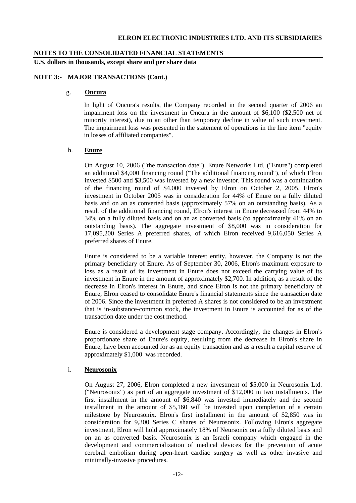#### **NOTES TO THE CONSOLIDATED FINANCIAL STATEMENTS**

**U.S. dollars in thousands, except share and per share data** 

#### **NOTE 3:- MAJOR TRANSACTIONS (Cont.)**

#### g. **Oncura**

In light of Oncura's results, the Company recorded in the second quarter of 2006 an impairment loss on the investment in Oncura in the amount of \$6,100 (\$2,500 net of minority interest), due to an other than temporary decline in value of such investment. The impairment loss was presented in the statement of operations in the line item "equity in losses of affiliated companies".

#### h. **Enure**

On August 10, 2006 ("the transaction date"), Enure Networks Ltd. ("Enure") completed an additional \$4,000 financing round ("The additional financing round"), of which Elron invested \$500 and \$3,500 was invested by a new investor. This round was a continuation of the financing round of \$4,000 invested by Elron on October 2, 2005. Elron's investment in October 2005 was in consideration for 44% of Enure on a fully diluted basis and on an as converted basis (approximately 57% on an outstanding basis). As a result of the additional financing round, Elron's interest in Enure decreased from 44% to 34% on a fully diluted basis and on an as converted basis (to approximately 41% on an outstanding basis). The aggregate investment of \$8,000 was in consideration for 17,095,200 Series A preferred shares, of which Elron received 9,616,050 Series A preferred shares of Enure.

Enure is considered to be a variable interest entity, however, the Company is not the primary beneficiary of Enure. As of September 30, 2006, Elron's maximum exposure to loss as a result of its investment in Enure does not exceed the carrying value of its investment in Enure in the amount of approximately \$2,700. In addition, as a result of the decrease in Elron's interest in Enure, and since Elron is not the primary beneficiary of Enure, Elron ceased to consolidate Enure's financial statements since the transaction date of 2006. Since the investment in preferred A shares is not considered to be an investment that is in-substance-common stock, the investment in Enure is accounted for as of the transaction date under the cost method.

Enure is considered a development stage company. Accordingly, the changes in Elron's proportionate share of Enure's equity, resulting from the decrease in Elron's share in Enure, have been accounted for as an equity transaction and as a result a capital reserve of approximately \$1,000 was recorded.

#### i. **Neurosonix**

On August 27, 2006, Elron completed a new investment of \$5,000 in Neurosonix Ltd. ("Neurosonix") as part of an aggregate investment of \$12,000 in two installments. The first installment in the amount of \$6,840 was invested immediately and the second installment in the amount of \$5,160 will be invested upon completion of a certain milestone by Neurosonix. Elron's first installment in the amount of \$2,850 was in consideration for 9,300 Series C shares of Neurosonix. Following Elron's aggregate investment, Elron will hold approximately 18% of Neursonix on a fully diluted basis and on an as converted basis. Neurosonix is an Israeli company which engaged in the development and commercialization of medical devices for the prevention of acute cerebral embolism during open-heart cardiac surgery as well as other invasive and minimally-invasive procedures.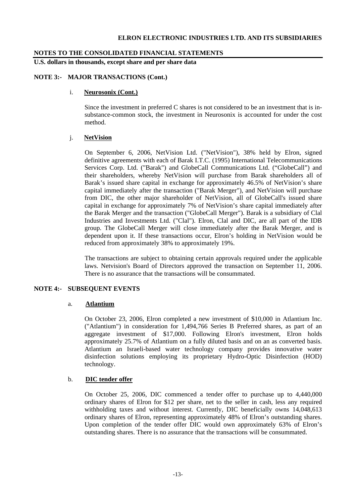# **NOTES TO THE CONSOLIDATED FINANCIAL STATEMENTS**

**U.S. dollars in thousands, except share and per share data** 

## **NOTE 3:- MAJOR TRANSACTIONS (Cont.)**

## i. **Neurosonix (Cont.)**

Since the investment in preferred C shares is not considered to be an investment that is insubstance-common stock, the investment in Neurosonix is accounted for under the cost method.

# j. **NetVision**

On September 6, 2006, NetVision Ltd. ("NetVision"), 38% held by Elron, signed definitive agreements with each of Barak I.T.C. (1995) International Telecommunications Services Corp. Ltd. ("Barak") and GlobeCall Communications Ltd. ("GlobeCall") and their shareholders, whereby NetVision will purchase from Barak shareholders all of Barak's issued share capital in exchange for approximately 46.5% of NetVision's share capital immediately after the transaction ("Barak Merger"), and NetVision will purchase from DIC, the other major shareholder of NetVision, all of GlobeCall's issued share capital in exchange for approximately 7% of NetVision's share capital immediately after the Barak Merger and the transaction ("GlobeCall Merger"). Barak is a subsidiary of Clal Industries and Investments Ltd. ("Clal"). Elron, Clal and DIC, are all part of the IDB group. The GlobeCall Merger will close immediately after the Barak Merger, and is dependent upon it. If these transactions occur, Elron's holding in NetVision would be reduced from approximately 38% to approximately 19%.

The transactions are subject to obtaining certain approvals required under the applicable laws. Netvision's Board of Directors approved the transaction on September 11, 2006. There is no assurance that the transactions will be consummated.

# **NOTE 4:- SUBSEQUENT EVENTS**

#### a. **Atlantium**

On October 23, 2006, Elron completed a new investment of \$10,000 in Atlantium Inc. ("Atlantium") in consideration for 1,494,766 Series B Preferred shares, as part of an aggregate investment of \$17,000. Following Elron's investment, Elron holds approximately 25.7% of Atlantium on a fully diluted basis and on an as converted basis. Atlantium an Israeli-based water technology company provides innovative water disinfection solutions employing its proprietary Hydro-Optic Disinfection (HOD) technology.

# b. **DIC tender offer**

On October 25, 2006, DIC commenced a tender offer to purchase up to 4,440,000 ordinary shares of Elron for \$12 per share, net to the seller in cash, less any required withholding taxes and without interest. Currently, DIC beneficially owns 14,048,613 ordinary shares of Elron, representing approximately 48% of Elron's outstanding shares. Upon completion of the tender offer DIC would own approximately 63% of Elron's outstanding shares. There is no assurance that the transactions will be consummated.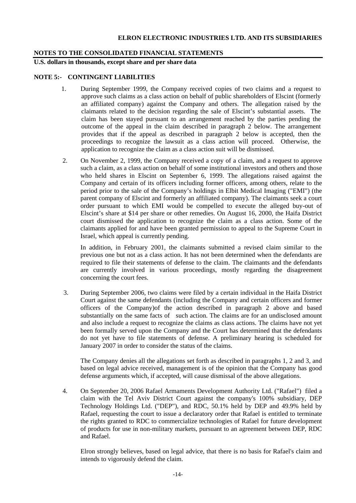# **NOTES TO THE CONSOLIDATED FINANCIAL STATEMENTS**

**U.S. dollars in thousands, except share and per share data** 

## **NOTE 5:- CONTINGENT LIABILITIES**

- 1. During September 1999, the Company received copies of two claims and a request to approve such claims as a class action on behalf of public shareholders of Elscint (formerly an affiliated company) against the Company and others. The allegation raised by the claimants related to the decision regarding the sale of Elscint's substantial assets. The claim has been stayed pursuant to an arrangement reached by the parties pending the outcome of the appeal in the claim described in paragraph 2 below. The arrangement provides that if the appeal as described in paragraph 2 below is accepted, then the proceedings to recognize the lawsuit as a class action will proceed. Otherwise, the application to recognize the claim as a class action suit will be dismissed.
- 2. On November 2, 1999, the Company received a copy of a claim, and a request to approve such a claim, as a class action on behalf of some institutional investors and others and those who held shares in Elscint on September 6, 1999. The allegations raised against the Company and certain of its officers including former officers, among others, relate to the period prior to the sale of the Company's holdings in Elbit Medical Imaging ("EMI") (the parent company of Elscint and formerly an affiliated company). The claimants seek a court order pursuant to which EMI would be compelled to execute the alleged buy-out of Elscint's share at \$14 per share or other remedies. On August 16, 2000, the Haifa District court dismissed the application to recognize the claim as a class action. Some of the claimants applied for and have been granted permission to appeal to the Supreme Court in Israel, which appeal is currently pending.

 In addition, in February 2001, the claimants submitted a revised claim similar to the previous one but not as a class action. It has not been determined when the defendants are required to file their statements of defense to the claim. The claimants and the defendants are currently involved in various proceedings, mostly regarding the disagreement concerning the court fees.

3. During September 2006, two claims were filed by a certain individual in the Haifa District Court against the same defendants (including the Company and certain officers and former officers of the Company)of the action described in paragraph 2 above and based substantially on the same facts of such action. The claims are for an undisclosed amount and also include a request to recognize the claims as class actions. The claims have not yet been formally served upon the Company and the Court has determined that the defendants do not yet have to file statements of defense. A preliminary hearing is scheduled for January 2007 in order to consider the status of the claims.

 The Company denies all the allegations set forth as described in paragraphs 1, 2 and 3, and based on legal advice received, management is of the opinion that the Company has good defense arguments which, if accepted, will cause dismissal of the above allegations.

4. On September 20, 2006 Rafael Armaments Development Authority Ltd. ("Rafael") filed a claim with the Tel Aviv District Court against the company's 100% subsidiary, DEP Technology Holdings Ltd. ("DEP"), and RDC, 50.1% held by DEP and 49.9% held by Rafael, requesting the court to issue a declaratory order that Rafael is entitled to terminate the rights granted to RDC to commercialize technologies of Rafael for future development of products for use in non-military markets, pursuant to an agreement between DEP, RDC and Rafael.

 Elron strongly believes, based on legal advice, that there is no basis for Rafael's claim and intends to vigorously defend the claim.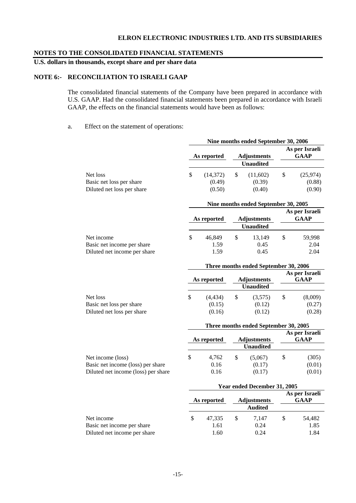# **NOTES TO THE CONSOLIDATED FINANCIAL STATEMENTS**

# **U.S. dollars in thousands, except share and per share data**

# **NOTE 6:- RECONCILIATION TO ISRAELI GAAP**

The consolidated financial statements of the Company have been prepared in accordance with U.S. GAAP. Had the consolidated financial statements been prepared in accordance with Israeli GAAP, the effects on the financial statements would have been as follows:

#### a. Effect on the statement of operations:

|                                          |                                      |                     |    | Nine months ended September 30, 2006  |                               |                               |  |  |  |  |  |  |
|------------------------------------------|--------------------------------------|---------------------|----|---------------------------------------|-------------------------------|-------------------------------|--|--|--|--|--|--|
|                                          |                                      | As reported         |    | <b>Adjustments</b>                    |                               | As per Israeli<br><b>GAAP</b> |  |  |  |  |  |  |
|                                          |                                      |                     |    | <b>Unaudited</b>                      |                               |                               |  |  |  |  |  |  |
| Net loss<br>Basic net loss per share     | \$                                   | (14, 372)<br>(0.49) | \$ | (11,602)<br>(0.39)<br>(0.40)          | \$                            | (25, 974)<br>(0.88)           |  |  |  |  |  |  |
| Diluted net loss per share               |                                      | (0.50)              |    |                                       |                               | (0.90)                        |  |  |  |  |  |  |
|                                          | Nine months ended September 30, 2005 |                     |    |                                       |                               |                               |  |  |  |  |  |  |
|                                          |                                      | As reported         |    | <b>Adjustments</b>                    | As per Israeli<br><b>GAAP</b> |                               |  |  |  |  |  |  |
|                                          |                                      |                     |    | <b>Unaudited</b>                      |                               |                               |  |  |  |  |  |  |
| Net income<br>Basic net income per share | \$                                   | 46,849<br>1.59      | \$ | 13,149<br>0.45                        | $\mathcal{S}$                 | 59,998<br>2.04                |  |  |  |  |  |  |
| Diluted net income per share             |                                      | 1.59                |    | 0.45                                  |                               | 2.04                          |  |  |  |  |  |  |
|                                          |                                      |                     |    |                                       |                               |                               |  |  |  |  |  |  |
|                                          |                                      |                     |    | Three months ended September 30, 2006 |                               |                               |  |  |  |  |  |  |
|                                          |                                      | As reported         |    | <b>Adjustments</b>                    |                               | As per Israeli<br><b>GAAP</b> |  |  |  |  |  |  |
|                                          |                                      |                     |    | <b>Unaudited</b>                      |                               |                               |  |  |  |  |  |  |
| Net loss                                 | \$                                   | (4, 434)            | \$ | (3,575)                               | \$                            | (8,009)                       |  |  |  |  |  |  |
| Basic net loss per share                 |                                      | (0.15)              |    | (0.12)                                |                               | (0.27)                        |  |  |  |  |  |  |
| Diluted net loss per share               |                                      | (0.16)              |    | (0.12)                                |                               | (0.28)                        |  |  |  |  |  |  |
|                                          |                                      |                     |    |                                       |                               |                               |  |  |  |  |  |  |
|                                          |                                      |                     |    | Three months ended September 30, 2005 |                               | As per Israeli                |  |  |  |  |  |  |
|                                          |                                      | As reported         |    | <b>Adjustments</b>                    |                               | <b>GAAP</b>                   |  |  |  |  |  |  |
|                                          |                                      |                     |    | <b>Unaudited</b>                      |                               |                               |  |  |  |  |  |  |
| Net income (loss)                        | $\mathcal{S}$                        | 4,762               | \$ | (5,067)                               | \$                            | (305)                         |  |  |  |  |  |  |
| Basic net income (loss) per share        |                                      | 0.16                |    | (0.17)                                |                               | (0.01)                        |  |  |  |  |  |  |
| Diluted net income (loss) per share      |                                      | 0.16                |    | (0.17)                                |                               | (0.01)                        |  |  |  |  |  |  |
|                                          | Year ended December 31, 2005         |                     |    |                                       |                               |                               |  |  |  |  |  |  |
|                                          |                                      |                     |    |                                       |                               | As per Israeli                |  |  |  |  |  |  |

| As reported |        |                | GAAP               |        |  |  |
|-------------|--------|----------------|--------------------|--------|--|--|
|             |        | <b>Audited</b> |                    |        |  |  |
|             | 47.335 | 7.147          |                    | 54,482 |  |  |
|             | 1.61   | 0.24           |                    | 1.85   |  |  |
|             | 1.60   | 0.24           |                    | 1.84   |  |  |
|             |        |                | <b>Adjustments</b> |        |  |  |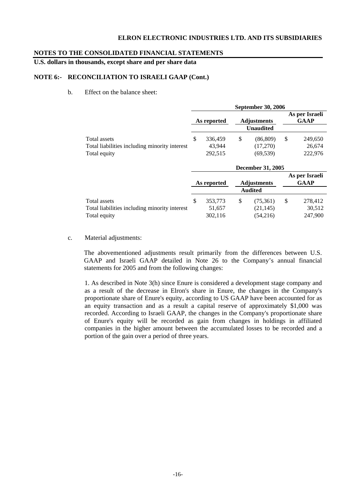## **NOTES TO THE CONSOLIDATED FINANCIAL STATEMENTS**

**U.S. dollars in thousands, except share and per share data** 

# **NOTE 6:- RECONCILIATION TO ISRAELI GAAP (Cont.)**

b. Effect on the balance sheet:

|                                               | <b>September 30, 2006</b> |                                   |    |                  |    |                               |  |  |
|-----------------------------------------------|---------------------------|-----------------------------------|----|------------------|----|-------------------------------|--|--|
|                                               |                           | <b>Adjustments</b><br>As reported |    |                  |    | As per Israeli<br><b>GAAP</b> |  |  |
|                                               |                           |                                   |    | <b>Unaudited</b> |    |                               |  |  |
| Total assets                                  | S                         | 336,459                           | \$ | (86, 809)        | \$ | 249,650                       |  |  |
| Total liabilities including minority interest |                           | 43.944                            |    | (17,270)         |    | 26,674                        |  |  |
| Total equity                                  |                           | 292,515                           |    | (69, 539)        |    | 222,976                       |  |  |

|                                               | <b>December 31, 2005</b> |         |                    |           |    |                               |  |
|-----------------------------------------------|--------------------------|---------|--------------------|-----------|----|-------------------------------|--|
|                                               | As reported              |         | <b>Adjustments</b> |           |    | As per Israeli<br><b>GAAP</b> |  |
|                                               |                          |         | <b>Audited</b>     |           |    |                               |  |
| Total assets                                  | \$                       | 353,773 | \$                 | (75,361)  | \$ | 278,412                       |  |
| Total liabilities including minority interest |                          | 51,657  |                    | (21, 145) |    | 30,512                        |  |
| Total equity                                  |                          | 302,116 |                    | (54,216)  |    | 247,900                       |  |

c. Material adjustments:

The abovementioned adjustments result primarily from the differences between U.S. GAAP and Israeli GAAP detailed in Note 26 to the Company's annual financial statements for 2005 and from the following changes:

1. As described in Note 3(h) since Enure is considered a development stage company and as a result of the decrease in Elron's share in Enure, the changes in the Company's proportionate share of Enure's equity, according to US GAAP have been accounted for as an equity transaction and as a result a capital reserve of approximately \$1,000 was recorded. According to Israeli GAAP, the changes in the Company's proportionate share of Enure's equity will be recorded as gain from changes in holdings in affiliated companies in the higher amount between the accumulated losses to be recorded and a portion of the gain over a period of three years.